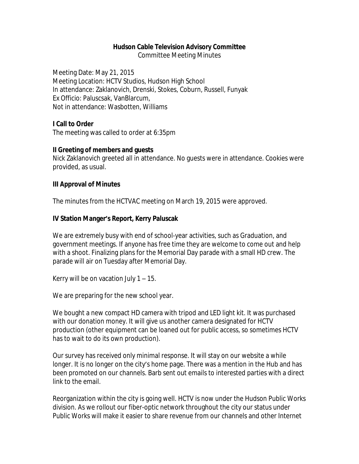#### **Hudson Cable Television Advisory Committee**

Committee Meeting Minutes

Meeting Date: May 21, 2015 Meeting Location: HCTV Studios, Hudson High School In attendance: Zaklanovich, Drenski, Stokes, Coburn, Russell, Funyak Ex Officio: Paluscsak, VanBlarcum, Not in attendance: Wasbotten, Williams

#### **I Call to Order**

The meeting was called to order at 6:35pm

#### **II Greeting of members and guests**

Nick Zaklanovich greeted all in attendance. No guests were in attendance. Cookies were provided, as usual.

#### **III Approval of Minutes**

The minutes from the HCTVAC meeting on March 19, 2015 were approved.

### **IV Station Manger's Report, Kerry Paluscak**

We are extremely busy with end of school-year activities, such as Graduation, and government meetings. If anyone has free time they are welcome to come out and help with a shoot. Finalizing plans for the Memorial Day parade with a small HD crew. The parade will air on Tuesday after Memorial Day.

Kerry will be on vacation July 1 – 15.

We are preparing for the new school year.

We bought a new compact HD camera with tripod and LED light kit. It was purchased with our donation money. It will give us another camera designated for HCTV production (other equipment can be loaned out for public access, so sometimes HCTV has to wait to do its own production).

Our survey has received only minimal response. It will stay on our website a while longer. It is no longer on the city's home page. There was a mention in the Hub and has been promoted on our channels. Barb sent out emails to interested parties with a direct link to the email.

Reorganization within the city is going well. HCTV is now under the Hudson Public Works division. As we rollout our fiber-optic network throughout the city our status under Public Works will make it easier to share revenue from our channels and other Internet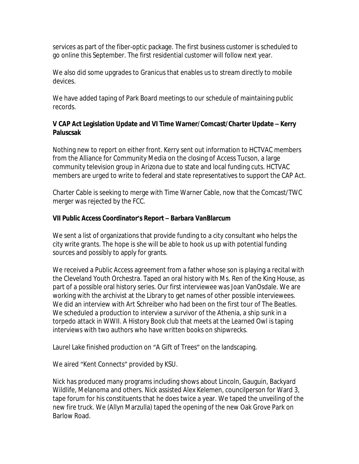services as part of the fiber-optic package. The first business customer is scheduled to go online this September. The first residential customer will follow next year.

We also did some upgrades to Granicus that enables us to stream directly to mobile devices.

We have added taping of Park Board meetings to our schedule of maintaining public records.

## **V CAP Act Legislation Update and VI Time Warner/Comcast/Charter Update – Kerry Paluscsak**

Nothing new to report on either front. Kerry sent out information to HCTVAC members from the Alliance for Community Media on the closing of Access Tucson, a large community television group in Arizona due to state and local funding cuts. HCTVAC members are urged to write to federal and state representatives to support the CAP Act.

Charter Cable is seeking to merge with Time Warner Cable, now that the Comcast/TWC merger was rejected by the FCC.

# **VII Public Access Coordinator's Report – Barbara VanBlarcum**

We sent a list of organizations that provide funding to a city consultant who helps the city write grants. The hope is she will be able to hook us up with potential funding sources and possibly to apply for grants.

We received a Public Access agreement from a father whose son is playing a recital with the Cleveland Youth Orchestra. Taped an oral history with Ms. Ren of the King House, as part of a possible oral history series. Our first interviewee was Joan VanOsdale. We are working with the archivist at the Library to get names of other possible interviewees. We did an interview with Art Schreiber who had been on the first tour of The Beatles. We scheduled a production to interview a survivor of the Athenia, a ship sunk in a torpedo attack in WWII. A History Book club that meets at the Learned Owl is taping interviews with two authors who have written books on shipwrecks.

Laurel Lake finished production on "A Gift of Trees" on the landscaping.

We aired "Kent Connects" provided by KSU.

Nick has produced many programs including shows about Lincoln, Gauguin, Backyard Wildlife, Melanoma and others. Nick assisted Alex Kelemen, councilperson for Ward 3, tape forum for his constituents that he does twice a year. We taped the unveiling of the new fire truck. We (Allyn Marzulla) taped the opening of the new Oak Grove Park on Barlow Road.